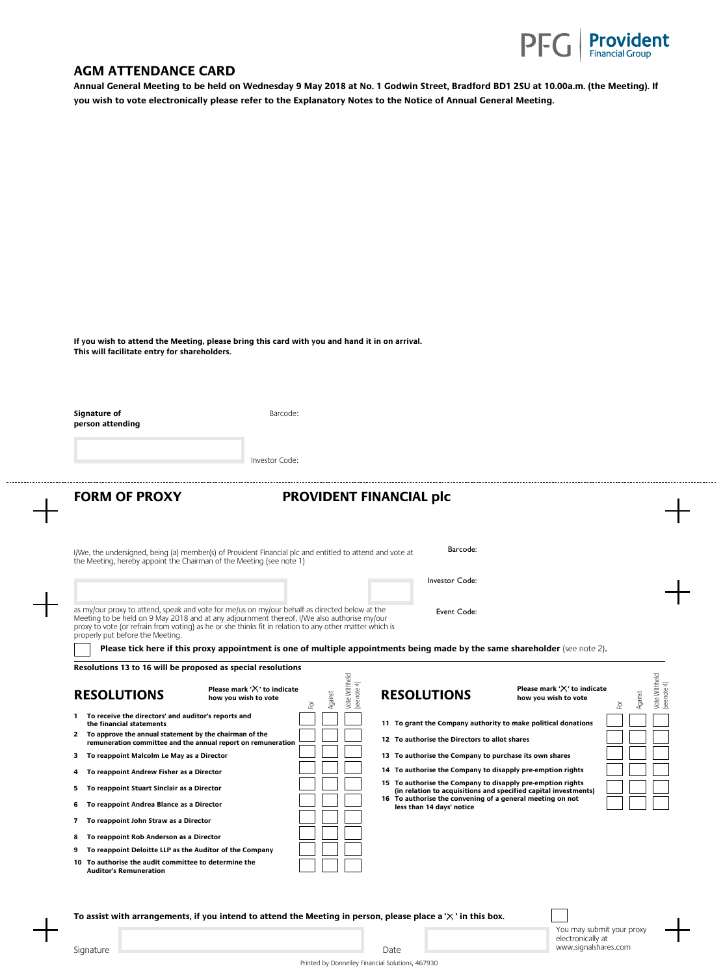

## **AGM ATTENDANCE CARD**

**Annual General Meeting to be held on Wednesday 9 May 2018 at No. 1 Godwin Street, Bradford BD1 2SU at 10.00a.m. (the Meeting). If you wish to vote electronically please refer to the Explanatory Notes to the Notice of Annual General Meeting.**

| This will facilitate entry for shareholders.                                                                                                                                                                                                                                                                                                                                                                                                                                                           | If you wish to attend the Meeting, please bring this card with you and hand it in on arrival.                                                                                                                                                                                                                          |
|--------------------------------------------------------------------------------------------------------------------------------------------------------------------------------------------------------------------------------------------------------------------------------------------------------------------------------------------------------------------------------------------------------------------------------------------------------------------------------------------------------|------------------------------------------------------------------------------------------------------------------------------------------------------------------------------------------------------------------------------------------------------------------------------------------------------------------------|
| Signature of<br>person attending                                                                                                                                                                                                                                                                                                                                                                                                                                                                       | Barcode:                                                                                                                                                                                                                                                                                                               |
|                                                                                                                                                                                                                                                                                                                                                                                                                                                                                                        | Investor Code:                                                                                                                                                                                                                                                                                                         |
| <b>FORM OF PROXY</b>                                                                                                                                                                                                                                                                                                                                                                                                                                                                                   | <b>PROVIDENT FINANCIAL plc</b>                                                                                                                                                                                                                                                                                         |
|                                                                                                                                                                                                                                                                                                                                                                                                                                                                                                        |                                                                                                                                                                                                                                                                                                                        |
|                                                                                                                                                                                                                                                                                                                                                                                                                                                                                                        |                                                                                                                                                                                                                                                                                                                        |
|                                                                                                                                                                                                                                                                                                                                                                                                                                                                                                        | Barcode:<br>I/We, the undersigned, being (a) member(s) of Provident Financial plc and entitled to attend and vote at                                                                                                                                                                                                   |
|                                                                                                                                                                                                                                                                                                                                                                                                                                                                                                        |                                                                                                                                                                                                                                                                                                                        |
|                                                                                                                                                                                                                                                                                                                                                                                                                                                                                                        | Investor Code:                                                                                                                                                                                                                                                                                                         |
|                                                                                                                                                                                                                                                                                                                                                                                                                                                                                                        | as my/our proxy to attend, speak and vote for me/us on my/our behalf as directed below at the<br>Event Code:<br>Meeting to be held on 9 May 2018 and at any adjournment thereof. I/We also authorise my/our<br>proxy to vote (or refrain from voting) as he or she thinks fit in relation to any other matter which is |
|                                                                                                                                                                                                                                                                                                                                                                                                                                                                                                        | Please tick here if this proxy appointment is one of multiple appointments being made by the same shareholder (see note 2).                                                                                                                                                                                            |
|                                                                                                                                                                                                                                                                                                                                                                                                                                                                                                        |                                                                                                                                                                                                                                                                                                                        |
|                                                                                                                                                                                                                                                                                                                                                                                                                                                                                                        | Vote Withheld<br>note 4)<br>Please mark ' $\times$ ' to indicate<br>Please mark ' $\chi$ ' to indicate<br><b>RESOLUTIONS</b><br>Against<br>Against<br>how you wish to vote<br>how you wish to vote<br>(see I<br>훈<br>호                                                                                                 |
| the financial statements                                                                                                                                                                                                                                                                                                                                                                                                                                                                               | Vote Withheld<br>(see note 4)<br>11 To grant the Company authority to make political donations                                                                                                                                                                                                                         |
| remuneration committee and the annual report on remuneration                                                                                                                                                                                                                                                                                                                                                                                                                                           | 12 To authorise the Directors to allot shares                                                                                                                                                                                                                                                                          |
|                                                                                                                                                                                                                                                                                                                                                                                                                                                                                                        | 13 To authorise the Company to purchase its own shares                                                                                                                                                                                                                                                                 |
| To reappoint Andrew Fisher as a Director                                                                                                                                                                                                                                                                                                                                                                                                                                                               | 14 To authorise the Company to disapply pre-emption rights                                                                                                                                                                                                                                                             |
| To reappoint Stuart Sinclair as a Director                                                                                                                                                                                                                                                                                                                                                                                                                                                             | 15 To authorise the Company to disapply pre-emption rights<br>(in relation to acquisitions and specified capital investments)                                                                                                                                                                                          |
| To reappoint Andrea Blance as a Director                                                                                                                                                                                                                                                                                                                                                                                                                                                               | 16 To authorise the convening of a general meeting on not<br>less than 14 days' notice                                                                                                                                                                                                                                 |
| To reappoint John Straw as a Director                                                                                                                                                                                                                                                                                                                                                                                                                                                                  |                                                                                                                                                                                                                                                                                                                        |
| the Meeting, hereby appoint the Chairman of the Meeting (see note 1)<br>properly put before the Meeting.<br>Resolutions 13 to 16 will be proposed as special resolutions<br><b>RESOLUTIONS</b><br>1 To receive the directors' and auditor's reports and<br>2 To approve the annual statement by the chairman of the<br>3 To reappoint Malcolm Le May as a Director<br>4<br>5<br>6<br>7<br>To reappoint Rob Anderson as a Director<br>8<br>To reappoint Deloitte LLP as the Auditor of the Company<br>9 |                                                                                                                                                                                                                                                                                                                        |

**To assist with arrangements, if you intend to attend the Meeting in person, please place a ' ' in this box.** 



.............

Printed by Donnelley Financial Solutions, 467930